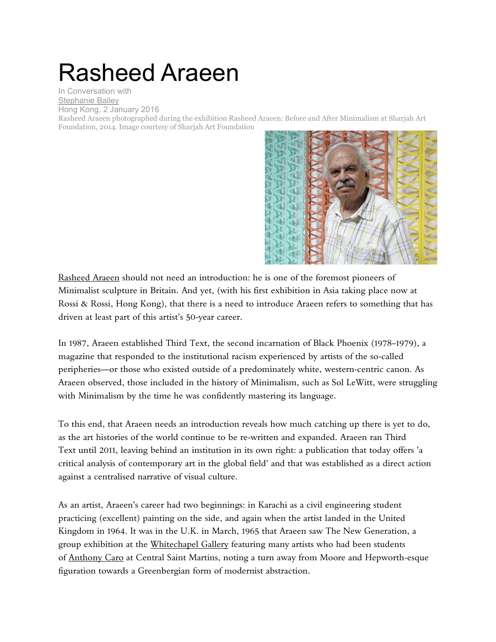## Rasheed Araeen

In Conversation with [Stephanie Bailey](https://ocula.com/magazine/contributors/stephanie-bailey/) Hong Kong, 2 January 2016

Rasheed Araeen photographed during the exhibition Rasheed Araeen: Before and After Minimalism at Sharjah Art Foundation, 2014. Image courtesy of Sharjah Art Foundation



[Rasheed Araeen](https://ocula.com/artists/rasheed-araeen/) should not need an introduction: he is one of the foremost pioneers of Minimalist sculpture in Britain. And yet, (with his first exhibition in Asia taking place now at Rossi & Rossi, Hong Kong), that there is a need to introduce Araeen refers to something that has driven at least part of this artist's 50-year career.

In 1987, Araeen established Third Text, the second incarnation of Black Phoenix (1978–1979), a magazine that responded to the institutional racism experienced by artists of the so-called peripheries—or those who existed outside of a predominately white, western-centric canon. As Araeen observed, those included in the history of Minimalism, such as Sol LeWitt, were struggling with Minimalism by the time he was confidently mastering its language.

To this end, that Araeen needs an introduction reveals how much catching up there is yet to do, as the art histories of the world continue to be re-written and expanded. Araeen ran Third Text until 2011, leaving behind an institution in its own right: a publication that today offers 'a critical analysis of contemporary art in the global field' and that was established as a direct action against a centralised narrative of visual culture.

As an artist, Araeen's career had two beginnings: in Karachi as a civil engineering student practicing (excellent) painting on the side, and again when the artist landed in the United Kingdom in 1964. It was in the U.K. in March, 1965 that Araeen saw The New Generation, a group exhibition at the [Whitechapel Gallery](https://ocula.com/institutions/whitechapel-gallery/) featuring many artists who had been students of [Anthony Caro](https://ocula.com/artists/anthony-caro/) at Central Saint Martins, noting a turn away from Moore and Hepworth-esque figuration towards a Greenbergian form of modernist abstraction.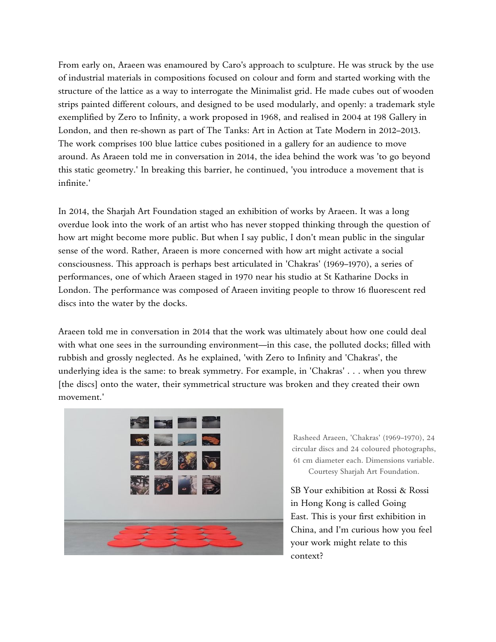From early on, Araeen was enamoured by Caro's approach to sculpture. He was struck by the use of industrial materials in compositions focused on colour and form and started working with the structure of the lattice as a way to interrogate the Minimalist grid. He made cubes out of wooden strips painted different colours, and designed to be used modularly, and openly: a trademark style exemplified by Zero to Infinity, a work proposed in 1968, and realised in 2004 at 198 Gallery in London, and then re-shown as part of The Tanks: Art in Action at Tate Modern in 2012–2013. The work comprises 100 blue lattice cubes positioned in a gallery for an audience to move around. As Araeen told me in conversation in 2014, the idea behind the work was 'to go beyond this static geometry.' In breaking this barrier, he continued, 'you introduce a movement that is infinite.'

In 2014, the Sharjah Art Foundation staged an exhibition of works by Araeen. It was a long overdue look into the work of an artist who has never stopped thinking through the question of how art might become more public. But when I say public, I don't mean public in the singular sense of the word. Rather, Araeen is more concerned with how art might activate a social consciousness. This approach is perhaps best articulated in 'Chakras' (1969–1970), a series of performances, one of which Araeen staged in 1970 near his studio at St Katharine Docks in London. The performance was composed of Araeen inviting people to throw 16 fluorescent red discs into the water by the docks.

Araeen told me in conversation in 2014 that the work was ultimately about how one could deal with what one sees in the surrounding environment—in this case, the polluted docks; filled with rubbish and grossly neglected. As he explained, 'with Zero to Infinity and 'Chakras', the underlying idea is the same: to break symmetry. For example, in 'Chakras' . . . when you threw [the discs] onto the water, their symmetrical structure was broken and they created their own movement.'



Rasheed Araeen, 'Chakras' (1969–1970), 24 circular discs and 24 coloured photographs, 61 cm diameter each. Dimensions variable. Courtesy Sharjah Art Foundation.

SB Your exhibition at Rossi & Rossi in Hong Kong is called Going East. This is your first exhibition in China, and I'm curious how you feel your work might relate to this context?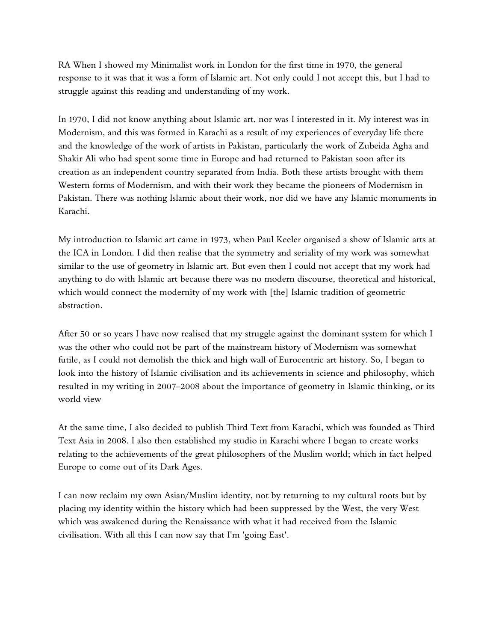RA When I showed my Minimalist work in London for the first time in 1970, the general response to it was that it was a form of Islamic art. Not only could I not accept this, but I had to struggle against this reading and understanding of my work.

In 1970, I did not know anything about Islamic art, nor was I interested in it. My interest was in Modernism, and this was formed in Karachi as a result of my experiences of everyday life there and the knowledge of the work of artists in Pakistan, particularly the work of Zubeida Agha and Shakir Ali who had spent some time in Europe and had returned to Pakistan soon after its creation as an independent country separated from India. Both these artists brought with them Western forms of Modernism, and with their work they became the pioneers of Modernism in Pakistan. There was nothing Islamic about their work, nor did we have any Islamic monuments in Karachi.

My introduction to Islamic art came in 1973, when Paul Keeler organised a show of Islamic arts at the ICA in London. I did then realise that the symmetry and seriality of my work was somewhat similar to the use of geometry in Islamic art. But even then I could not accept that my work had anything to do with Islamic art because there was no modern discourse, theoretical and historical, which would connect the modernity of my work with [the] Islamic tradition of geometric abstraction.

After 50 or so years I have now realised that my struggle against the dominant system for which I was the other who could not be part of the mainstream history of Modernism was somewhat futile, as I could not demolish the thick and high wall of Eurocentric art history. So, I began to look into the history of Islamic civilisation and its achievements in science and philosophy, which resulted in my writing in 2007–2008 about the importance of geometry in Islamic thinking, or its world view

At the same time, I also decided to publish Third Text from Karachi, which was founded as Third Text Asia in 2008. I also then established my studio in Karachi where I began to create works relating to the achievements of the great philosophers of the Muslim world; which in fact helped Europe to come out of its Dark Ages.

I can now reclaim my own Asian/Muslim identity, not by returning to my cultural roots but by placing my identity within the history which had been suppressed by the West, the very West which was awakened during the Renaissance with what it had received from the Islamic civilisation. With all this I can now say that I'm 'going East'.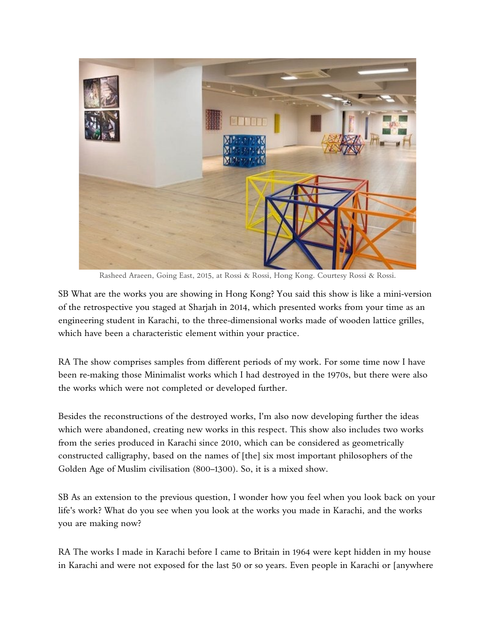

Rasheed Araeen, Going East, 2015, at Rossi & Rossi, Hong Kong. Courtesy Rossi & Rossi.

SB What are the works you are showing in Hong Kong? You said this show is like a mini-version of the retrospective you staged at Sharjah in 2014, which presented works from your time as an engineering student in Karachi, to the three-dimensional works made of wooden lattice grilles, which have been a characteristic element within your practice.

RA The show comprises samples from different periods of my work. For some time now I have been re-making those Minimalist works which I had destroyed in the 1970s, but there were also the works which were not completed or developed further.

Besides the reconstructions of the destroyed works, I'm also now developing further the ideas which were abandoned, creating new works in this respect. This show also includes two works from the series produced in Karachi since 2010, which can be considered as geometrically constructed calligraphy, based on the names of [the] six most important philosophers of the Golden Age of Muslim civilisation (800–1300). So, it is a mixed show.

SB As an extension to the previous question, I wonder how you feel when you look back on your life's work? What do you see when you look at the works you made in Karachi, and the works you are making now?

RA The works I made in Karachi before I came to Britain in 1964 were kept hidden in my house in Karachi and were not exposed for the last 50 or so years. Even people in Karachi or [anywhere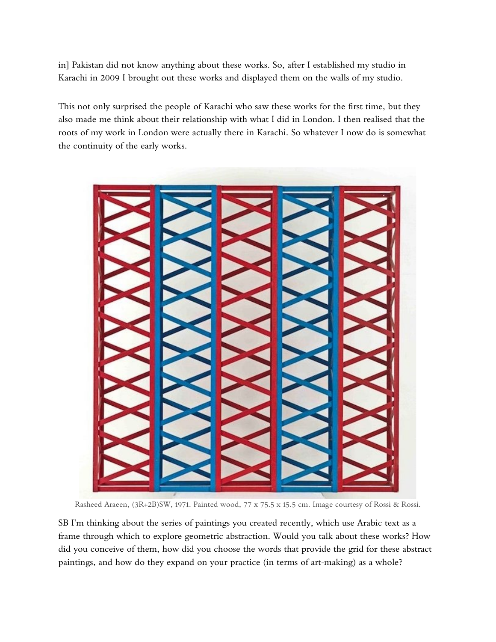in] Pakistan did not know anything about these works. So, after I established my studio in Karachi in 2009 I brought out these works and displayed them on the walls of my studio.

This not only surprised the people of Karachi who saw these works for the first time, but they also made me think about their relationship with what I did in London. I then realised that the roots of my work in London were actually there in Karachi. So whatever I now do is somewhat the continuity of the early works.



Rasheed Araeen, (3R+2B)SW, 1971. Painted wood, 77 x 75.5 x 15.5 cm. Image courtesy of Rossi & Rossi.

SB I'm thinking about the series of paintings you created recently, which use Arabic text as a frame through which to explore geometric abstraction. Would you talk about these works? How did you conceive of them, how did you choose the words that provide the grid for these abstract paintings, and how do they expand on your practice (in terms of art-making) as a whole?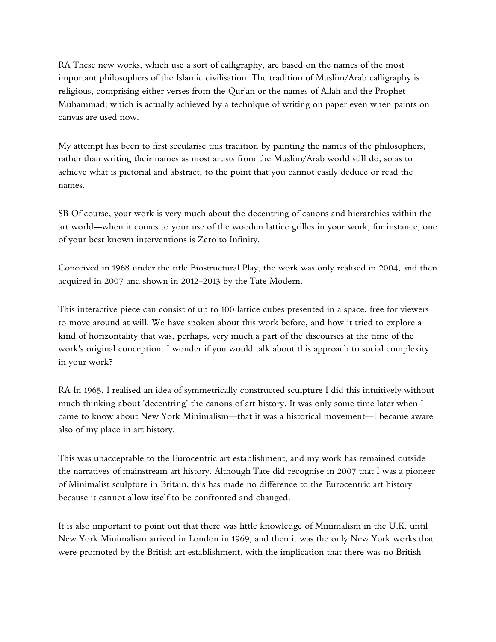RA These new works, which use a sort of calligraphy, are based on the names of the most important philosophers of the Islamic civilisation. The tradition of Muslim/Arab calligraphy is religious, comprising either verses from the Qur'an or the names of Allah and the Prophet Muhammad; which is actually achieved by a technique of writing on paper even when paints on canvas are used now.

My attempt has been to first secularise this tradition by painting the names of the philosophers, rather than writing their names as most artists from the Muslim/Arab world still do, so as to achieve what is pictorial and abstract, to the point that you cannot easily deduce or read the names.

SB Of course, your work is very much about the decentring of canons and hierarchies within the art world—when it comes to your use of the wooden lattice grilles in your work, for instance, one of your best known interventions is Zero to Infinity.

Conceived in 1968 under the title Biostructural Play, the work was only realised in 2004, and then acquired in 2007 and shown in 2012–2013 by the [Tate Modern.](https://ocula.com/institutions/tate-modern/)

This interactive piece can consist of up to 100 lattice cubes presented in a space, free for viewers to move around at will. We have spoken about this work before, and how it tried to explore a kind of horizontality that was, perhaps, very much a part of the discourses at the time of the work's original conception. I wonder if you would talk about this approach to social complexity in your work?

RA In 1965, I realised an idea of symmetrically constructed sculpture I did this intuitively without much thinking about 'decentring' the canons of art history. It was only some time later when I came to know about New York Minimalism—that it was a historical movement—I became aware also of my place in art history.

This was unacceptable to the Eurocentric art establishment, and my work has remained outside the narratives of mainstream art history. Although Tate did recognise in 2007 that I was a pioneer of Minimalist sculpture in Britain, this has made no difference to the Eurocentric art history because it cannot allow itself to be confronted and changed.

It is also important to point out that there was little knowledge of Minimalism in the U.K. until New York Minimalism arrived in London in 1969, and then it was the only New York works that were promoted by the British art establishment, with the implication that there was no British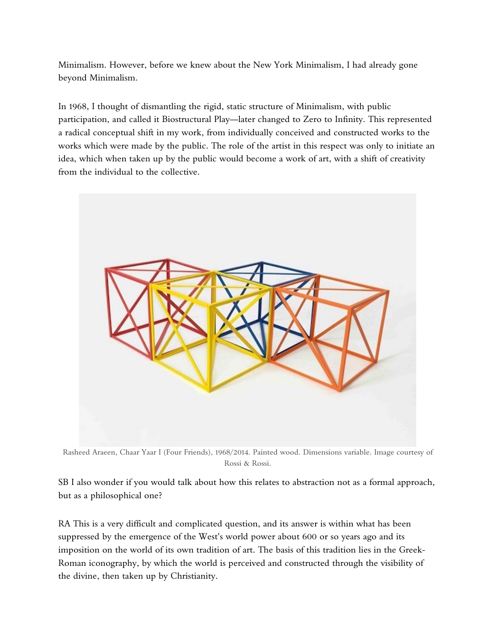Minimalism. However, before we knew about the New York Minimalism, I had already gone beyond Minimalism.

In 1968, I thought of dismantling the rigid, static structure of Minimalism, with public participation, and called it Biostructural Play—later changed to Zero to Infinity. This represented a radical conceptual shift in my work, from individually conceived and constructed works to the works which were made by the public. The role of the artist in this respect was only to initiate an idea, which when taken up by the public would become a work of art, with a shift of creativity from the individual to the collective.



Rasheed Araeen, Chaar Yaar I (Four Friends), 1968/2014. Painted wood. Dimensions variable. Image courtesy of Rossi & Rossi.

SB I also wonder if you would talk about how this relates to abstraction not as a formal approach, but as a philosophical one?

RA This is a very difficult and complicated question, and its answer is within what has been suppressed by the emergence of the West's world power about 600 or so years ago and its imposition on the world of its own tradition of art. The basis of this tradition lies in the Greek-Roman iconography, by which the world is perceived and constructed through the visibility of the divine, then taken up by Christianity.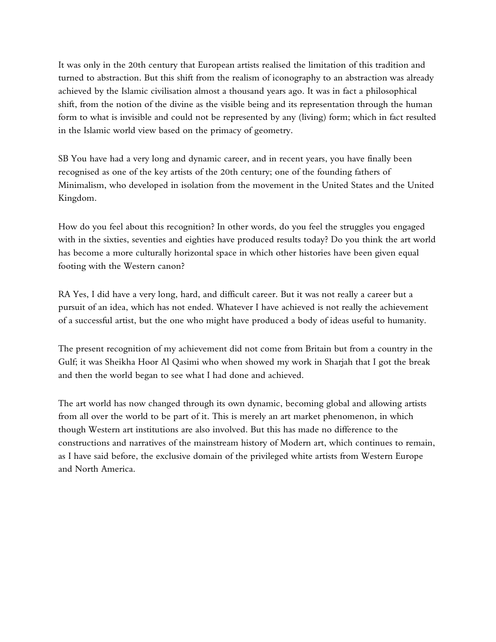It was only in the 20th century that European artists realised the limitation of this tradition and turned to abstraction. But this shift from the realism of iconography to an abstraction was already achieved by the Islamic civilisation almost a thousand years ago. It was in fact a philosophical shift, from the notion of the divine as the visible being and its representation through the human form to what is invisible and could not be represented by any (living) form; which in fact resulted in the Islamic world view based on the primacy of geometry.

SB You have had a very long and dynamic career, and in recent years, you have finally been recognised as one of the key artists of the 20th century; one of the founding fathers of Minimalism, who developed in isolation from the movement in the United States and the United Kingdom.

How do you feel about this recognition? In other words, do you feel the struggles you engaged with in the sixties, seventies and eighties have produced results today? Do you think the art world has become a more culturally horizontal space in which other histories have been given equal footing with the Western canon?

RA Yes, I did have a very long, hard, and difficult career. But it was not really a career but a pursuit of an idea, which has not ended. Whatever I have achieved is not really the achievement of a successful artist, but the one who might have produced a body of ideas useful to humanity.

The present recognition of my achievement did not come from Britain but from a country in the Gulf; it was Sheikha Hoor Al Qasimi who when showed my work in Sharjah that I got the break and then the world began to see what I had done and achieved.

The art world has now changed through its own dynamic, becoming global and allowing artists from all over the world to be part of it. This is merely an art market phenomenon, in which though Western art institutions are also involved. But this has made no difference to the constructions and narratives of the mainstream history of Modern art, which continues to remain, as I have said before, the exclusive domain of the privileged white artists from Western Europe and North America.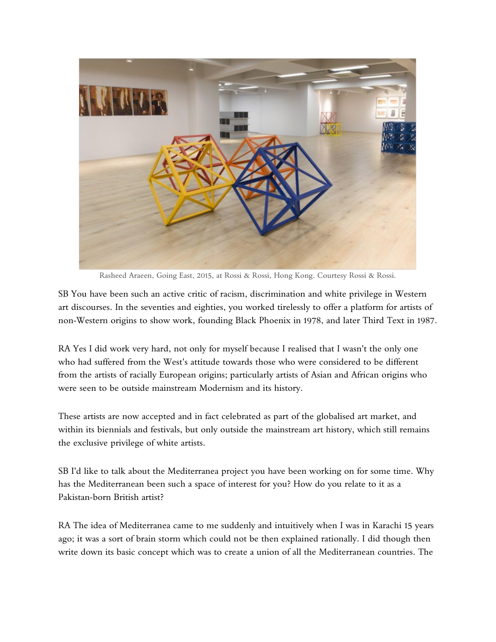

Rasheed Araeen, Going East, 2015, at Rossi & Rossi, Hong Kong. Courtesy Rossi & Rossi.

SB You have been such an active critic of racism, discrimination and white privilege in Western art discourses. In the seventies and eighties, you worked tirelessly to offer a platform for artists of non-Western origins to show work, founding Black Phoenix in 1978, and later Third Text in 1987.

RA Yes I did work very hard, not only for myself because I realised that I wasn't the only one who had suffered from the West's attitude towards those who were considered to be different from the artists of racially European origins; particularly artists of Asian and African origins who were seen to be outside mainstream Modernism and its history.

These artists are now accepted and in fact celebrated as part of the globalised art market, and within its biennials and festivals, but only outside the mainstream art history, which still remains the exclusive privilege of white artists.

SB I'd like to talk about the Mediterranea project you have been working on for some time. Why has the Mediterranean been such a space of interest for you? How do you relate to it as a Pakistan-born British artist?

RA The idea of Mediterranea came to me suddenly and intuitively when I was in Karachi 15 years ago; it was a sort of brain storm which could not be then explained rationally. I did though then write down its basic concept which was to create a union of all the Mediterranean countries. The